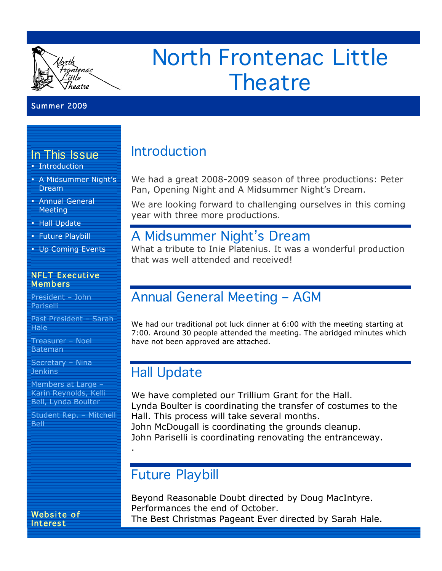

# North Frontenac Little **Theatre**

### Summer 2009

### In This Issue

- Introduction
- A Midsummer Night's Dream
- Annual General Meeting
- Hall Update
- Future Playbill
- Up Coming Events

#### NFLT Executive Members

President – John **Pariselli** 

Past President – Sarah Hale

Treasurer – Noel Bateman

Secretary – Nina **Jenkins** 

Members at Large – Karin Reynolds, Kelli Bell, Lynda Boulter

Student Rep. – Mitchell **Bell** 

# Introduction

We had a great 2008-2009 season of three productions: Peter Pan, Opening Night and A Midsummer Night's Dream.

We are looking forward to challenging ourselves in this coming year with three more productions.

### A Midsummer Night's Dream

What a tribute to Inie Platenius. It was a wonderful production that was well attended and received!

### Annual General Meeting – AGM

We had our traditional pot luck dinner at 6:00 with the meeting starting at 7:00. Around 30 people attended the meeting. The abridged minutes which have not been approved are attached.

# Hall Update

We have completed our Trillium Grant for the Hall. Lynda Boulter is coordinating the transfer of costumes to the Hall. This process will take several months. John McDougall is coordinating the grounds cleanup. John Pariselli is coordinating renovating the entranceway.

### Future Playbill

.

Beyond Reasonable Doubt directed by Doug MacIntyre. Performances the end of October. The Best Christmas Pageant Ever directed by Sarah Hale.

Website of Interest

l

l

 l